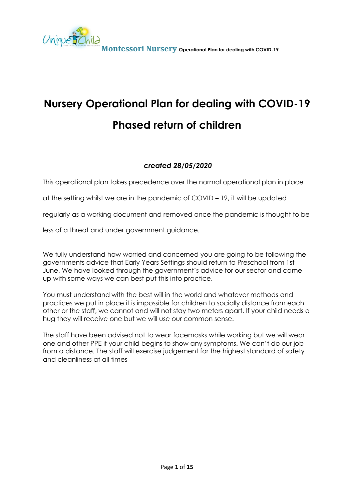

# **Nursery Operational Plan for dealing with COVID-19 Phased return of children**

### *created 28/05/2020*

This operational plan takes precedence over the normal operational plan in place

at the setting whilst we are in the pandemic of COVID – 19, it will be updated

regularly as a working document and removed once the pandemic is thought to be

less of a threat and under government guidance.

We fully understand how worried and concerned you are going to be following the governments advice that Early Years Settings should return to Preschool from 1st June. We have looked through the government's advice for our sector and came up with some ways we can best put this into practice.

You must understand with the best will in the world and whatever methods and practices we put in place it is impossible for children to socially distance from each other or the staff, we cannot and will not stay two meters apart. If your child needs a hug they will receive one but we will use our common sense.

The staff have been advised not to wear facemasks while working but we will wear one and other PPE if your child begins to show any symptoms. We can't do our job from a distance. The staff will exercise judgement for the highest standard of safety and cleanliness at all times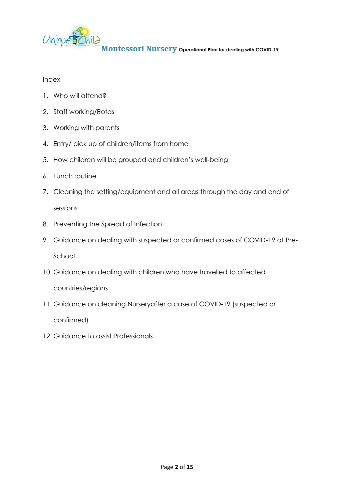

### Index

- 1. Who will attend?
- 2. Staff working/Rotas
- 3. Working with parents
- 4. Entry/ pick up of children/items from home
- 5. How children will be grouped and children's well-being
- 6. Lunch routine
- 7. Cleaning the setting/equipment and all areas through the day and end of

sessions

- 8. Preventing the Spread of Infection
- 9. Guidance on dealing with suspected or confirmed cases of COVID-19 at Pre-

School

10. Guidance on dealing with children who have travelled to affected

countries/regions

11. Guidance on cleaning Nurseryafter a case of COVID-19 (suspected or

confirmed)

12. Guidance to assist Professionals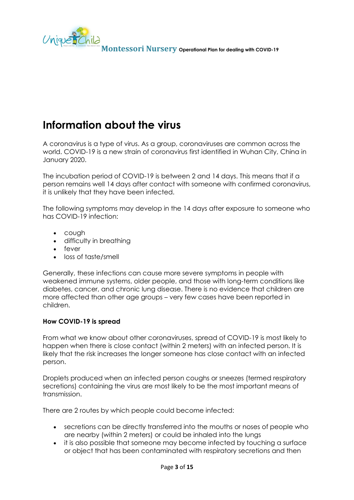

# **Information about the virus**

A coronavirus is a type of virus. As a group, coronaviruses are common across the world. COVID-19 is a new strain of coronavirus first identified in Wuhan City, China in January 2020.

The incubation period of COVID-19 is between 2 and 14 days. This means that if a person remains well 14 days after contact with someone with confirmed coronavirus, it is unlikely that they have been infected.

The following symptoms may develop in the 14 days after exposure to someone who has COVID-19 infection:

- cough
- difficulty in breathing
- fever
- loss of taste/smell

Generally, these infections can cause more severe symptoms in people with weakened immune systems, older people, and those with long-term conditions like diabetes, cancer, and chronic lung disease. There is no evidence that children are more affected than other age groups – very few cases have been reported in children.

### **How COVID-19 is spread**

From what we know about other coronaviruses, spread of COVID-19 is most likely to happen when there is close contact (within 2 meters) with an infected person. It is likely that the risk increases the longer someone has close contact with an infected person.

Droplets produced when an infected person coughs or sneezes (termed respiratory secretions) containing the virus are most likely to be the most important means of transmission.

There are 2 routes by which people could become infected:

- secretions can be directly transferred into the mouths or noses of people who are nearby (within 2 meters) or could be inhaled into the lungs
- it is also possible that someone may become infected by touching a surface or object that has been contaminated with respiratory secretions and then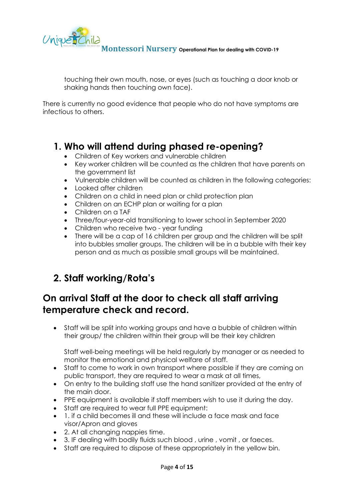

touching their own mouth, nose, or eyes (such as touching a door knob or shaking hands then touching own face).

There is currently no good evidence that people who do not have symptoms are infectious to others.

### **1. Who will attend during phased re-opening?**

- Children of Key workers and vulnerable children
- Key worker children will be counted as the children that have parents on the government list
- Vulnerable children will be counted as children in the following categories:
- Looked after children
- Children on a child in need plan or child protection plan
- Children on an ECHP plan or waiting for a plan
- Children on a TAF
- Three/four-year-old transitioning to lower school in September 2020
- Children who receive two year funding
- There will be a cap of 16 children per group and the children will be split into bubbles smaller groups. The children will be in a bubble with their key person and as much as possible small groups will be maintained.

## **2. Staff working/Rota's**

## **On arrival Staff at the door to check all staff arriving temperature check and record.**

• Staff will be split into working groups and have a bubble of children within their group/ the children within their group will be their key children

Staff well-being meetings will be held regularly by manager or as needed to monitor the emotional and physical welfare of staff.

- Staff to come to work in own transport where possible if they are coming on public transport, they are required to wear a mask at all times,
- On entry to the building staff use the hand sanitizer provided at the entry of the main door.
- PPE equipment is available if staff members wish to use it during the day.
- Staff are required to wear full PPE equipment:
- 1. if a child becomes ill and these will include a face mask and face visor/Apron and gloves
- 2. At all changing nappies time.
- 3. IF dealing with bodily fluids such blood , urine , vomit , or faeces.
- Staff are required to dispose of these appropriately in the yellow bin.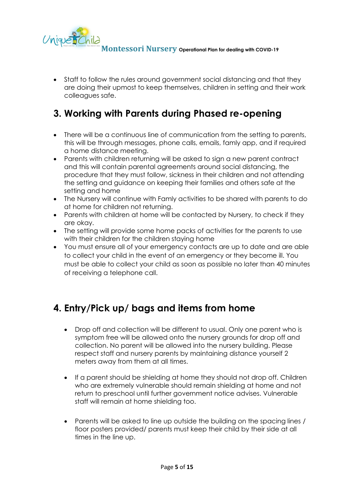

• Staff to follow the rules around government social distancing and that they are doing their upmost to keep themselves, children in setting and their work colleagues safe.

### **3. Working with Parents during Phased re-opening**

- There will be a continuous line of communication from the setting to parents, this will be through messages, phone calls, emails, famly app, and if required a home distance meeting.
- Parents with children returning will be asked to sign a new parent contract and this will contain parental agreements around social distancing, the procedure that they must follow, sickness in their children and not attending the setting and guidance on keeping their families and others safe at the setting and home
- The Nursery will continue with Famly activities to be shared with parents to do at home for children not returning.
- Parents with children at home will be contacted by Nursery, to check if they are okay.
- The setting will provide some home packs of activities for the parents to use with their children for the children staying home
- You must ensure all of your emergency contacts are up to date and are able to collect your child in the event of an emergency or they become ill. You must be able to collect your child as soon as possible no later than 40 minutes of receiving a telephone call.

## **4. Entry/Pick up/ bags and items from home**

- Drop off and collection will be different to usual. Only one parent who is symptom free will be allowed onto the nursery grounds for drop off and collection. No parent will be allowed into the nursery building. Please respect staff and nursery parents by maintaining distance yourself 2 meters away from them at all times.
- If a parent should be shielding at home they should not drop off. Children who are extremely vulnerable should remain shielding at home and not return to preschool until further government notice advises. Vulnerable staff will remain at home shielding too.
- Parents will be asked to line up outside the building on the spacing lines / floor posters provided/ parents must keep their child by their side at all times in the line up.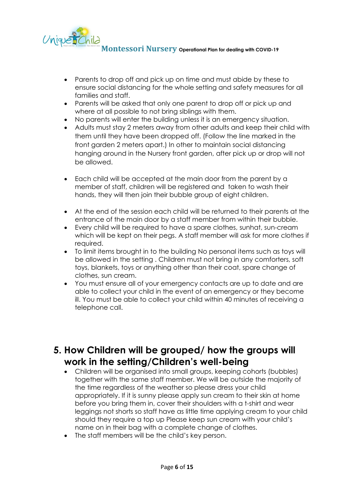

- Parents to drop off and pick up on time and must abide by these to ensure social distancing for the whole setting and safety measures for all families and staff.
- Parents will be asked that only one parent to drop off or pick up and where at all possible to not bring siblings with them.
- No parents will enter the building unless it is an emergency situation.
- Adults must stay 2 meters away from other adults and keep their child with them until they have been dropped off. (Follow the line marked in the front garden 2 meters apart.) In other to maintain social distancing hanging around in the Nursery front garden, after pick up or drop will not be allowed.
- Each child will be accepted at the main door from the parent by a member of staff, children will be registered and taken to wash their hands, they will then join their bubble group of eight children.
- At the end of the session each child will be returned to their parents at the entrance of the main door by a staff member from within their bubble.
- Every child will be required to have a spare clothes, sunhat, sun-cream which will be kept on their pegs. A staff member will ask for more clothes if required.
- To limit items brought in to the building No personal items such as toys will be allowed in the setting . Children must not bring in any comforters, soft toys, blankets, toys or anything other than their coat, spare change of clothes, sun cream.
- You must ensure all of your emergency contacts are up to date and are able to collect your child in the event of an emergency or they become ill. You must be able to collect your child within 40 minutes of receiving a telephone call.

### **5. How Children will be grouped/ how the groups will work in the setting/Children's well-being**

- Children will be organised into small groups, keeping cohorts (bubbles) together with the same staff member. We will be outside the majority of the time regardless of the weather so please dress your child appropriately. If it is sunny please apply sun cream to their skin at home before you bring them in, cover their shoulders with a t-shirt and wear leggings not shorts so staff have as little time applying cream to your child should they require a top up Please keep sun cream with your child's name on in their bag with a complete change of clothes.
- The staff members will be the child's key person.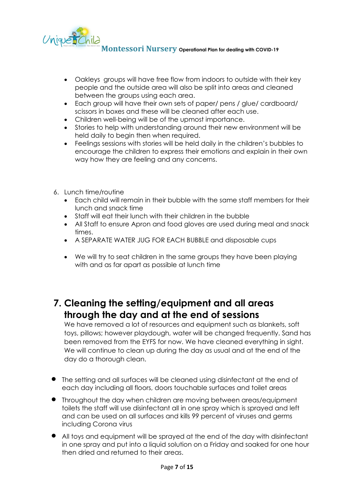

- Oakleys groups will have free flow from indoors to outside with their key people and the outside area will also be split into areas and cleaned between the groups using each area.
- Each group will have their own sets of paper/ pens / glue/ cardboard/ scissors in boxes and these will be cleaned after each use.
- Children well-being will be of the upmost importance.
- Stories to help with understanding around their new environment will be held daily to begin then when required.
- Feelings sessions with stories will be held daily in the children's bubbles to encourage the children to express their emotions and explain in their own way how they are feeling and any concerns.
- 6. Lunch time/routine
	- Each child will remain in their bubble with the same staff members for their lunch and snack time
	- Staff will eat their lunch with their children in the bubble
	- All Staff to ensure Apron and food gloves are used during meal and snack times.
	- A SEPARATE WATER JUG FOR EACH BUBBLE and disposable cups
	- We will try to seat children in the same groups they have been playing with and as far apart as possible at lunch time

### **7. Cleaning the setting/equipment and all areas through the day and at the end of sessions**

We have removed a lot of resources and equipment such as blankets, soft toys, pillows; however playdough, water will be changed frequently. Sand has been removed from the EYFS for now. We have cleaned everything in sight. We will continue to clean up during the day as usual and at the end of the day do a thorough clean.

- The setting and all surfaces will be cleaned using disinfectant at the end of each day including all floors, doors touchable surfaces and toilet areas
- Throughout the day when children are moving between areas/equipment toilets the staff will use disinfectant all in one spray which is sprayed and left and can be used on all surfaces and kills 99 percent of viruses and germs including Corona virus
- All toys and equipment will be sprayed at the end of the day with disinfectant in one spray and put into a liquid solution on a Friday and soaked for one hour then dried and returned to their areas.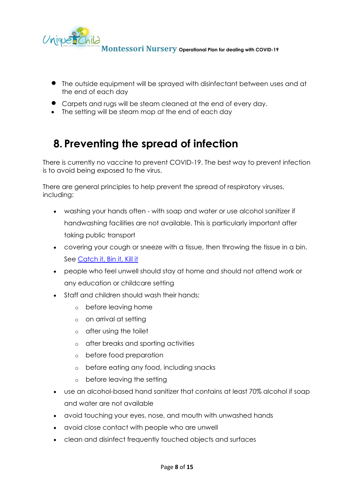

- The outside equipment will be sprayed with disinfectant between uses and at the end of each day
- Carpets and rugs will be steam cleaned at the end of every day.
- The setting will be steam mop at the end of each day

# **8. Preventing the spread of infection**

There is currently no vaccine to prevent COVID-19. The best way to prevent infection is to avoid being exposed to the virus.

There are general principles to help prevent the spread of respiratory viruses, including:

- washing your hands often with soap and water or use alcohol sanitizer if handwashing facilities are not available. This is particularly important after taking public transport
- covering your cough or sneeze with a tissue, then throwing the tissue in a bin. See Catch it, [Bin it, Kill it](https://campaignresources.phe.gov.uk/resources/campaigns/101/resources/5016)
- people who feel unwell should stay at home and should not attend work or any education or childcare setting
- Staff and children should wash their hands:
	- o before leaving home
	- o on arrival at setting
	- o after using the toilet
	- o after breaks and sporting activities
	- o before food preparation
	- o before eating any food, including snacks
	- o before leaving the setting
- use an alcohol-based hand sanitizer that contains at least 70% alcohol if soap and water are not available
- avoid touching your eyes, nose, and mouth with unwashed hands
- avoid close contact with people who are unwell
- clean and disinfect frequently touched objects and surfaces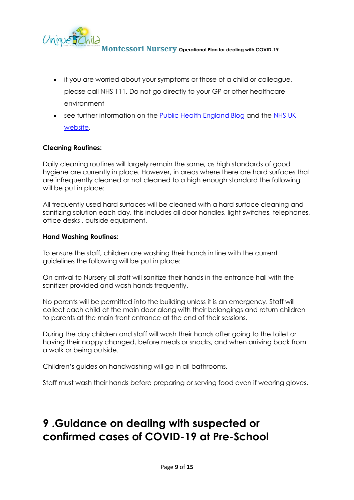

- if you are worried about your symptoms or those of a child or colleague, please call NHS 111. Do not go directly to your GP or other healthcare environment
- see further information on the [Public Health England Blog](https://publichealthmatters.blog.gov.uk/2020/01/23/wuhan-novel-coronavirus-what-you-need-to-know/) and the NHS UK [website.](https://www.nhs.uk/conditions/coronavirus-covid-19/)

### **Cleaning Routines:**

Daily cleaning routines will largely remain the same, as high standards of good hygiene are currently in place. However, in areas where there are hard surfaces that are infrequently cleaned or not cleaned to a high enough standard the following will be put in place:

All frequently used hard surfaces will be cleaned with a hard surface cleaning and sanitizing solution each day, this includes all door handles, light switches, telephones, office desks , outside equipment.

#### **Hand Washing Routines:**

To ensure the staff, children are washing their hands in line with the current guidelines the following will be put in place:

On arrival to Nursery all staff will sanitize their hands in the entrance hall with the sanitizer provided and wash hands frequently.

No parents will be permitted into the building unless it is an emergency. Staff will collect each child at the main door along with their belongings and return children to parents at the main front entrance at the end of their sessions.

During the day children and staff will wash their hands after going to the toilet or having their nappy changed, before meals or snacks, and when arriving back from a walk or being outside.

Children's guides on handwashing will go in all bathrooms.

Staff must wash their hands before preparing or serving food even if wearing gloves.

# **9 .Guidance on dealing with suspected or confirmed cases of COVID-19 at Pre-School**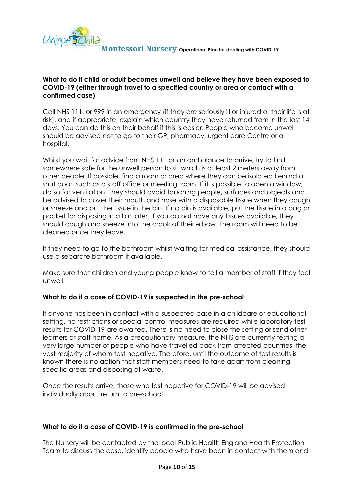

### **What to do if child or adult becomes unwell and believe they have been exposed to COVID-19 (either through travel to a specified country or area or contact with a confirmed case)**

Call NHS 111, or 999 in an emergency (if they are seriously ill or injured or their life is at risk), and if appropriate, explain which country they have returned from in the last 14 days. You can do this on their behalf if this is easier. People who become unwell should be advised not to go to their GP, pharmacy, urgent care Centre or a hospital.

Whilst you wait for advice from NHS 111 or an ambulance to arrive, try to find somewhere safe for the unwell person to sit which is at least 2 meters away from other people. If possible, find a room or area where they can be isolated behind a shut door, such as a staff office or meeting room. If it is possible to open a window, do so for ventilation. They should avoid touching people, surfaces and objects and be advised to cover their mouth and nose with a disposable tissue when they cough or sneeze and put the tissue in the bin. If no bin is available, put the tissue in a bag or pocket for disposing in a bin later. If you do not have any tissues available, they should cough and sneeze into the crook of their elbow. The room will need to be cleaned once they leave.

If they need to go to the bathroom whilst waiting for medical assistance, they should use a separate bathroom if available.

Make sure that children and young people know to tell a member of staff if they feel unwell.

### **What to do if a case of COVID-19 is suspected in the pre-school**

If anyone has been in contact with a suspected case in a childcare or educational setting, no restrictions or special control measures are required while laboratory test results for COVID-19 are awaited. There is no need to close the setting or send other learners or staff home. As a precautionary measure, the NHS are currently testing a very large number of people who have travelled back from affected countries, the vast majority of whom test negative. Therefore, until the outcome of test results is known there is no action that staff members need to take apart from cleaning specific areas and disposing of waste.

Once the results arrive, those who test negative for COVID-19 will be advised individually about return to pre-school.

### **What to do if a case of COVID-19 is confirmed in the pre-school**

The Nursery will be contacted by the local Public Health England Health Protection Team to discuss the case, identify people who have been in contact with them and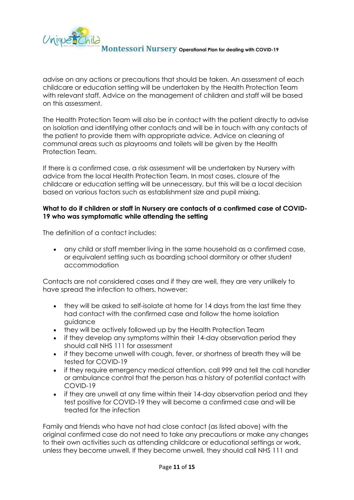

advise on any actions or precautions that should be taken. An assessment of each childcare or education setting will be undertaken by the Health Protection Team with relevant staff. Advice on the management of children and staff will be based on this assessment.

The Health Protection Team will also be in contact with the patient directly to advise on isolation and identifying other contacts and will be in touch with any contacts of the patient to provide them with appropriate advice. Advice on cleaning of communal areas such as playrooms and toilets will be given by the Health Protection Team.

If there is a confirmed case, a risk assessment will be undertaken by Nursery with advice from the local Health Protection Team. In most cases, closure of the childcare or education setting will be unnecessary, but this will be a local decision based on various factors such as establishment size and pupil mixing.

### **What to do if children or staff in Nursery are contacts of a confirmed case of COVID-19 who was symptomatic while attending the setting**

The definition of a contact includes:

• any child or staff member living in the same household as a confirmed case, or equivalent setting such as boarding school dormitory or other student accommodation

Contacts are not considered cases and if they are well, they are very unlikely to have spread the infection to others, however:

- they will be asked to self-isolate at home for 14 days from the last time they had contact with the confirmed case and follow the home isolation guidance
- they will be actively followed up by the Health Protection Team
- if they develop any symptoms within their 14-day observation period they should call NHS 111 for assessment
- if they become unwell with cough, fever, or shortness of breath they will be tested for COVID-19
- if they require emergency medical attention, call 999 and tell the call handler or ambulance control that the person has a history of potential contact with COVID-19
- if they are unwell at any time within their 14-day observation period and they test positive for COVID-19 they will become a confirmed case and will be treated for the infection

Family and friends who have not had close contact (as listed above) with the original confirmed case do not need to take any precautions or make any changes to their own activities such as attending childcare or educational settings or work, unless they become unwell. If they become unwell, they should call NHS 111 and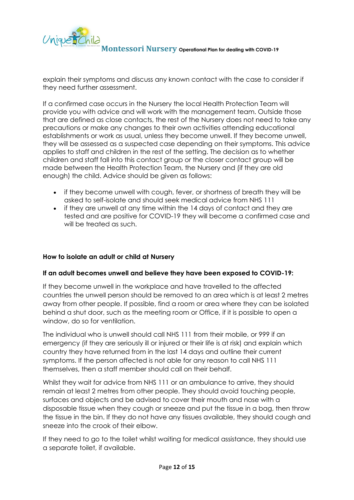

explain their symptoms and discuss any known contact with the case to consider if they need further assessment.

If a confirmed case occurs in the Nursery the local Health Protection Team will provide you with advice and will work with the management team. Outside those that are defined as close contacts, the rest of the Nursery does not need to take any precautions or make any changes to their own activities attending educational establishments or work as usual, unless they become unwell. If they become unwell, they will be assessed as a suspected case depending on their symptoms. This advice applies to staff and children in the rest of the setting. The decision as to whether children and staff fall into this contact group or the closer contact group will be made between the Health Protection Team, the Nursery and (if they are old enough) the child. Advice should be given as follows:

- if they become unwell with cough, fever, or shortness of breath they will be asked to self-isolate and should seek medical advice from NHS 111
- if they are unwell at any time within the 14 days of contact and they are tested and are positive for COVID-19 they will become a confirmed case and will be treated as such.

### **How to isolate an adult or child at Nursery**

### **If an adult becomes unwell and believe they have been exposed to COVID-19:**

If they become unwell in the workplace and have travelled to the affected countries the unwell person should be removed to an area which is at least 2 metres away from other people. If possible, find a room or area where they can be isolated behind a shut door, such as the meeting room or Office, if it is possible to open a window, do so for ventilation.

The individual who is unwell should call NHS 111 from their mobile, or 999 if an emergency (if they are seriously ill or injured or their life is at risk) and explain which country they have returned from in the last 14 days and outline their current symptoms. If the person affected is not able for any reason to call NHS 111 themselves, then a staff member should call on their behalf.

Whilst they wait for advice from NHS 111 or an ambulance to arrive, they should remain at least 2 metres from other people. They should avoid touching people, surfaces and objects and be advised to cover their mouth and nose with a disposable tissue when they cough or sneeze and put the tissue in a bag, then throw the tissue in the bin. If they do not have any tissues available, they should cough and sneeze into the crook of their elbow.

If they need to go to the toilet whilst waiting for medical assistance, they should use a separate toilet, if available.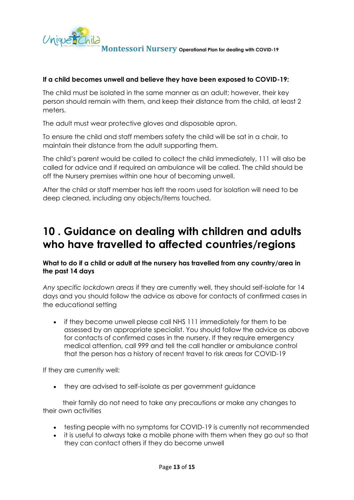

### **If a child becomes unwell and believe they have been exposed to COVID-19:**

The child must be isolated in the same manner as an adult; however, their key person should remain with them, and keep their distance from the child, at least 2 meters.

The adult must wear protective gloves and disposable apron.

To ensure the child and staff members safety the child will be sat in a chair, to maintain their distance from the adult supporting them.

The child's parent would be called to collect the child immediately, 111 will also be called for advice and if required an ambulance will be called. The child should be off the Nursery premises within one hour of becoming unwell.

After the child or staff member has left the room used for isolation will need to be deep cleaned, including any objects/items touched.

# **10 . Guidance on dealing with children and adults who have travelled to affected countries/regions**

**What to do if a child or adult at the nursery has travelled from any [country/area](https://www.gov.uk/government/publications/covid-19-specified-countries-and-areas) in the past 14 days**

*Any specific lockdown areas* if they are currently well, they should self-isolate for 14 days and you should follow the advice as above for contacts of confirmed cases in the educational setting

• if they become unwell please call NHS 111 immediately for them to be assessed by an appropriate specialist. You should follow the advice as above for contacts of confirmed cases in the nursery. If they require emergency medical attention, call 999 and tell the call handler or ambulance control that the person has a history of recent travel to risk areas for COVID-19

If they are currently well:

• they are advised to self-isolate as per government guidance

 their family do not need to take any precautions or make any changes to their own activities

- testing people with no symptoms for COVID-19 is currently not recommended
- it is useful to always take a mobile phone with them when they go out so that they can contact others if they do become unwell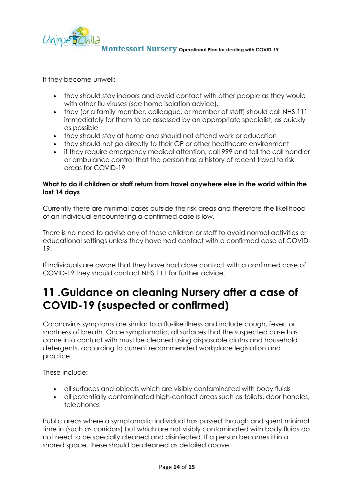

If they become unwell:

- they should stay indoors and avoid contact with other people as they would with other flu viruses (see home isolation advice).
- they (or a family member, colleague, or member of staff) should call NHS 111 immediately for them to be assessed by an appropriate specialist, as quickly as possible
- they should stay at home and should not attend work or education
- they should not go directly to their GP or other healthcare environment
- if they require emergency medical attention, call 999 and tell the call handler or ambulance control that the person has a history of recent travel to risk areas for COVID-19

### **What to do if children or staff return from travel anywhere else in the world within the last 14 days**

Currently there are minimal cases outside the risk areas and therefore the likelihood of an individual encountering a confirmed case is low.

There is no need to advise any of these children or staff to avoid normal activities or educational settings unless they have had contact with a confirmed case of COVID-19.

If individuals are aware that they have had close contact with a confirmed case of COVID-19 they should contact NHS 111 for further advice.

# **11 .Guidance on cleaning Nursery after a case of COVID-19 (suspected or confirmed)**

Coronavirus symptoms are similar to a flu-like illness and include cough, fever, or shortness of breath. Once symptomatic, all surfaces that the suspected case has come into contact with must be cleaned using disposable cloths and household detergents, according to current recommended workplace legislation and practice.

These include:

- all surfaces and objects which are visibly contaminated with body fluids
- all potentially contaminated high-contact areas such as toilets, door handles, telephones

Public areas where a symptomatic individual has passed through and spent minimal time in (such as corridors) but which are not visibly contaminated with body fluids do not need to be specially cleaned and disinfected. If a person becomes ill in a shared space, these should be cleaned as detailed above.